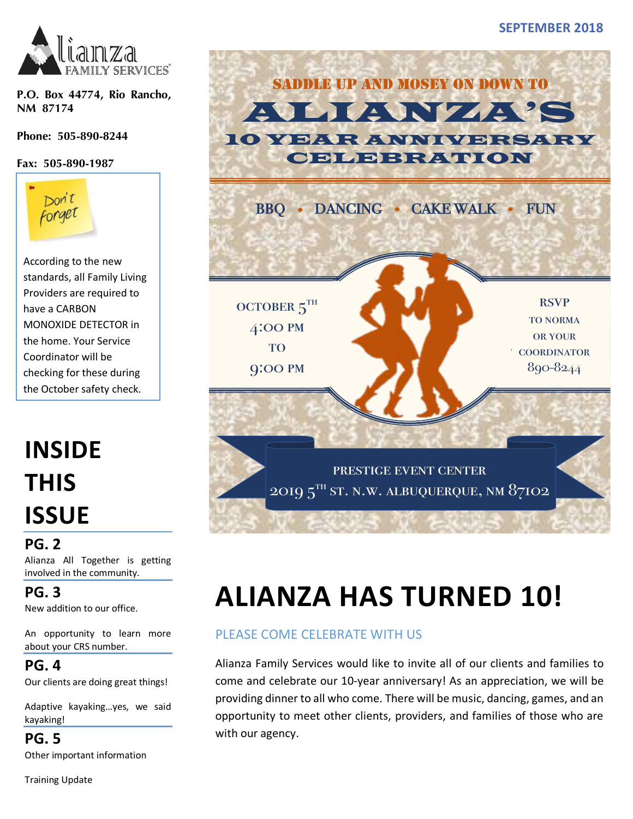

**P.O. Box 44774, Rio Rancho, NM 87174** 

**Phone: 505-890-8244**

**Fax: 505-890-1987**



According to the new standards, all Family Living Providers are required to have a CARBON MONOXIDE DETECTOR in the home. Your Service Coordinator will be checking for these during the October safety check.

# **INSIDE THIS ISSUE**

**PG. 2** Alianza All Together is getting involved in the community.

**PG. 3** New addition to our office.

An opportunity to learn more about your CRS number.

**PG. 4**

Our clients are doing great things!

Adaptive kayaking…yes, we said kayaking!

**PG. 5** Other important information

Training Update





# **ALIANZA HAS TURNED 10!**

### PLEASE COME CELEBRATE WITH US

Alianza Family Services would like to invite all of our clients and families to come and celebrate our 10-year anniversary! As an appreciation, we will be providing dinner to all who come. There will be music, dancing, games, and an opportunity to meet other clients, providers, and families of those who are with our agency.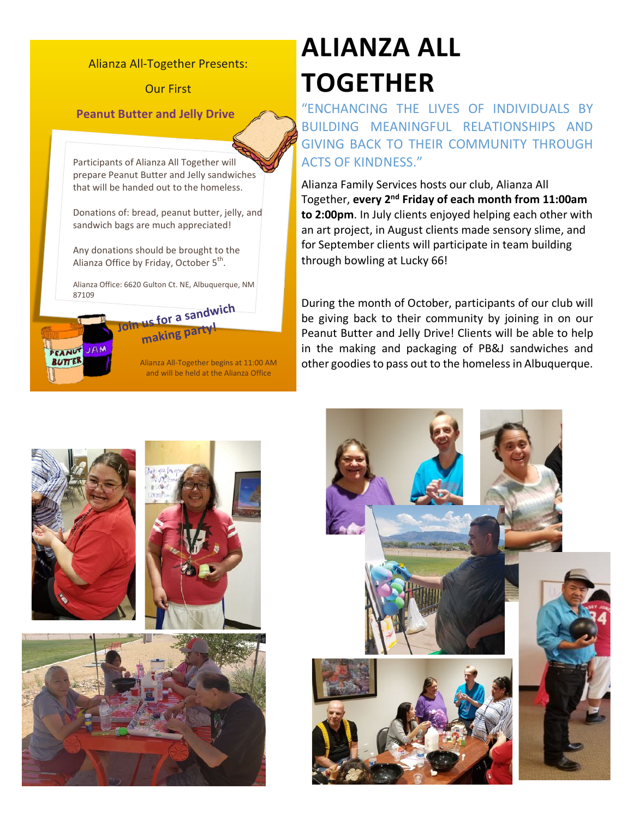#### Alianza All-Together Presents:

**Our First** 

**Peanut Butter and Jelly Drive** 

Participants of Alianza All Together will prepare Peanut Butter and Jelly sandwiches that will be handed out to the homeless.

Donations of: bread, peanut butter, jelly, and sandwich bags are much appreciated!

Any donations should be brought to the Alianza Office by Friday, October  $5<sup>th</sup>$ .

Alianza Office: 6620 Gulton Ct. NE, Albuquerque, NM 87109



Alianza All-Together begins at 11:00 AM and will be held at the Alianza Office

# **ALIANZA ALL TOGETHER**

"ENCHANCING THE LIVES OF INDIVIDUALS BY BUILDING MEANINGFUL RELATIONSHIPS AND GIVING BACK TO THEIR COMMUNITY THROUGH ACTS OF KINDNESS."

Alianza Family Services hosts our club, Alianza All Together, **every 2nd Friday of each month from 11:00am to 2:00pm**. In July clients enjoyed helping each other with an art project, in August clients made sensory slime, and for September clients will participate in team building through bowling at Lucky 66!

During the month of October, participants of our club will be giving back to their community by joining in on our Peanut Butter and Jelly Drive! Clients will be able to help in the making and packaging of PB&J sandwiches and other goodies to pass out to the homeless in Albuquerque.







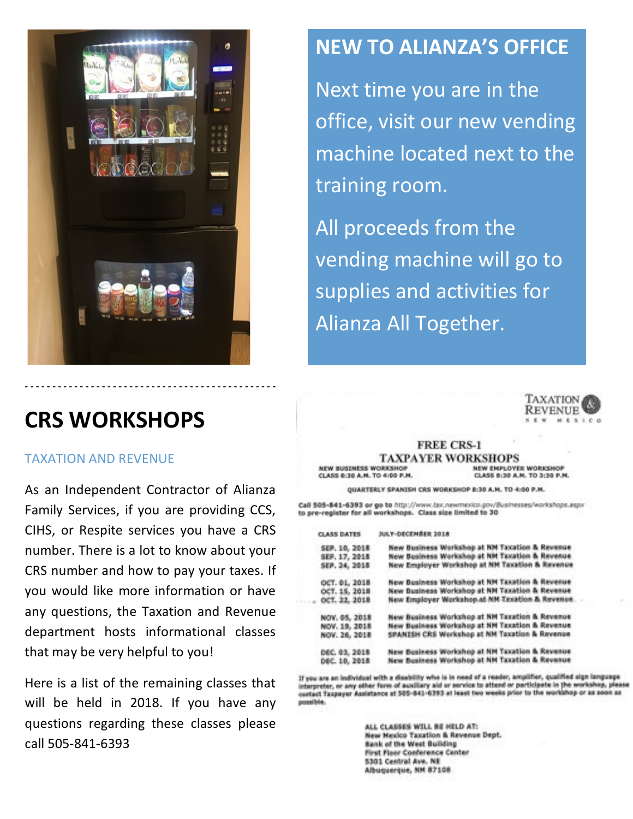

### **CRS WORKSHOPS**

#### TAXATION AND REVENUE

As an Independent Contractor of Alianza Family Services, if you are providing CCS, CIHS, or Respite services you have a CRS number. There is a lot to know about your CRS number and how to pay your taxes. If you would like more information or have any questions, the Taxation and Revenue department hosts informational classes that may be very helpful to you!

Here is a list of the remaining classes that will be held in 2018. If you have any questions regarding these classes please call 505-841-6393

### **NEW TO ALIANZA'S OFFICE**

Next time you are in the office, visit our new vending machine located next to the training room.

All proceeds from the vending machine will go to supplies and activities for Alianza All Together.



NEW EMPLOYER WORKSHOP

CLASS 8:30 A.M. TO 3:30 P.M.

#### **FREE CRS-1 TAXPAYER WORKSHOPS**

**NEW BUSINESS WORKSHOP** CLASS 8:30 A.M. TO 4:00 P.M.

OUARTERLY SPANISH CRS WORKSHOP 8:30 A.M. TO 4:00 P.M.

Call 505-841-6393 or go to http://www.tax.newmexico.gov/8usinesses/workshops.aspx to pre-register for all workshops. Class size limited to 30

| <b>CLASS DATES</b>   | JULY-DECEMBER 2018                              |
|----------------------|-------------------------------------------------|
| SEP. 10, 2018        | New Business Workshop at NM Taxation & Revenue  |
| SEP. 17, 2018        | New Business Workshop at NM Taxation & Revenue  |
| SEP. 24, 2018        | New Employer Workshop at NM Taxation & Revenue  |
| OCT. 01, 2018        | New Business Workshop at NM Taxation & Revenue  |
| OCT. 15, 2018        | New Business Workshop at NM Taxation & Revenue  |
| OCT. 22, 2018        | New Employer Workshop at NM Taxation & Revenue. |
| NOV. 05, 2018        | New Business Workshop at NH Taxation & Revenue  |
| NOV. 19, 2018        | New Business Workshop at NM Taxation & Revenue  |
| NOV. 26, 2018        | SPANISH CRS Workshop at NM Taxation & Revenue   |
| DEC. 03, 2018        | New Business Workshop at NM Taxation & Revenue  |
| <b>DEC. 10, 2018</b> | New Business Workshop at NH Taxation & Revenue  |

If you are an individual with a disability who is in need of a reader, amplifier, qualified sign language interpreter, or any other form of auxiliary aid or service to attend or participate in the workshop, pleas contact Taxpayer Assistance at 505-841-6393 at least two weeks prior to the world possible.

> ALL CLASSES WILL BE HELD AT: New Mexico Taxation & Revenue Dept. **Bank of the West Building** First Floor Conference Center 5301 Central Ave. NE Albuquerque, NM 87108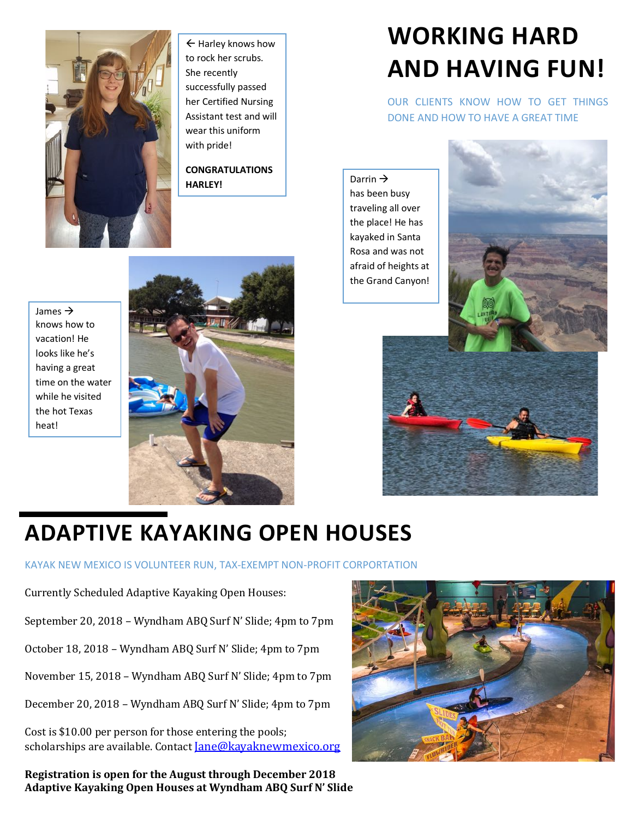

 $\leftarrow$  Harley knows how to rock her scrubs. She recently successfully passed her Certified Nursing Assistant test and will wear this uniform with pride!

**CONGRATULATIONS HARLEY!** 

# **WORKING HARD AND HAVING FUN!**

OUR CLIENTS KNOW HOW TO GET THINGS DONE AND HOW TO HAVE A GREAT TIME

Darrin  $\rightarrow$ has been busy traveling all over the place! He has kayaked in Santa Rosa and was not afraid of heights at the Grand Canyon!



James  $\rightarrow$ knows how to vacation! He looks like he's having a great time on the water while he visited the hot Texas heat!





## **ADAPTIVE KAYAKING OPEN HOUSES**

KAYAK NEW MEXICO IS VOLUNTEER RUN, TAX-EXEMPT NON-PROFIT CORPORTATION

Currently Scheduled Adaptive Kayaking Open Houses:

September 20, 2018 - Wyndham ABQ Surf N' Slide; 4pm to 7pm

October 18, 2018 - Wyndham ABQ Surf N' Slide; 4pm to 7pm

November 15, 2018 - Wyndham ABQ Surf N' Slide; 4pm to 7pm

December 20, 2018 - Wyndham ABQ Surf N' Slide; 4pm to 7pm

Cost is \$10.00 per person for those entering the pools; scholarships are available. Contact Jane@kayaknewmexico.org

**Registration is open for the August through December 2018 Adaptive Kayaking Open Houses at Wyndham ABQ Surf N' Slide**